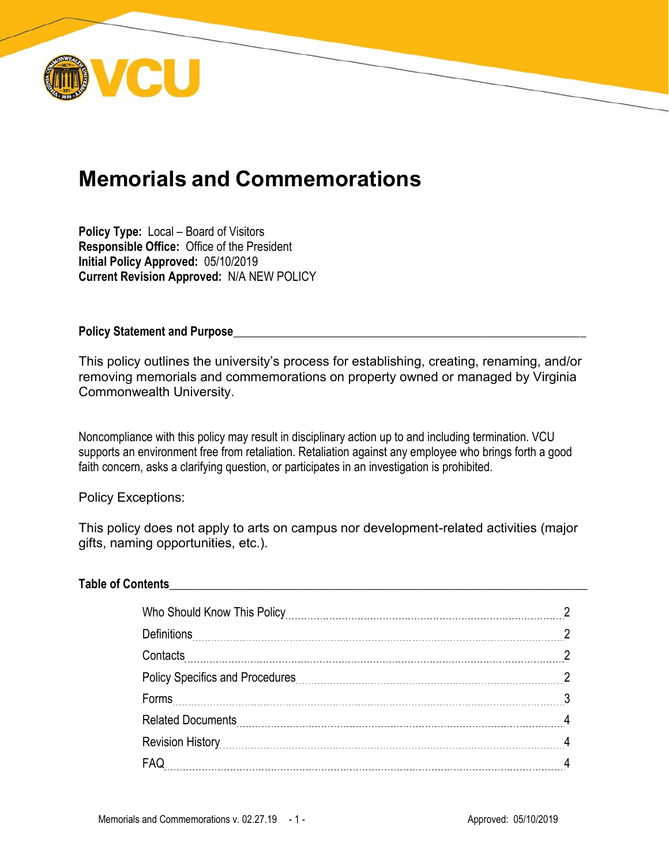

# **Memorials and Commemorations**

**Policy Type:** Local – Board of Visitors **Responsible Office:** Office of the President **Initial Policy Approved:** 05/10/2019 **Current Revision Approved:** N/A NEW POLICY

**Policy Statement and Purpose** 

This policy outlines the university's process for establishing, creating, renaming, and/or removing memorials and commemorations on property owned or managed by Virginia Commonwealth University.

Noncompliance with this policy may result in disciplinary action up to and including termination. VCU supports an environment free from retaliation. Retaliation against any employee who brings forth a good faith concern, asks a clarifying question, or participates in an investigation is prohibited.

Policy Exceptions:

This policy does not apply to arts on campus nor development-related activities (major gifts, naming opportunities, etc.).

#### **Table of Contents**\_\_\_\_\_\_\_\_\_\_\_\_\_\_\_\_\_\_\_\_\_\_\_\_\_\_\_\_\_\_\_\_\_\_\_\_\_\_\_\_\_\_\_\_\_\_\_\_\_\_\_\_\_\_\_\_\_\_\_\_\_\_\_\_\_\_\_\_\_\_

| <b>Definitions</b>                                                       |   |
|--------------------------------------------------------------------------|---|
| Contacts                                                                 |   |
|                                                                          | റ |
|                                                                          |   |
|                                                                          |   |
| Revision History <b>Martin According to the History</b> Revision History |   |
|                                                                          |   |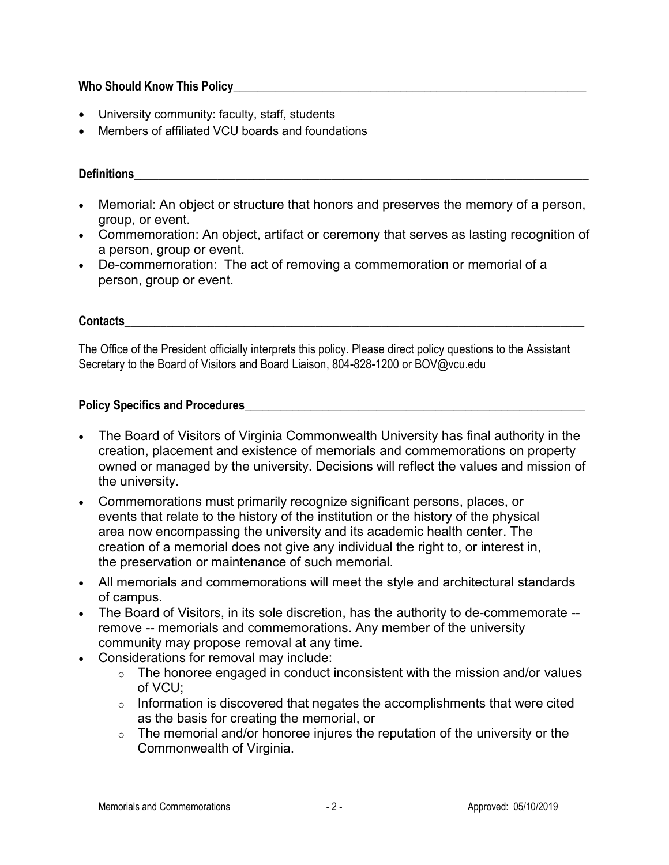# **Who Should Know This Policy**\_\_\_\_\_\_\_\_\_\_\_\_\_\_\_\_\_\_\_\_\_\_\_\_\_\_\_\_\_\_\_\_\_\_\_\_\_\_\_\_\_\_\_\_\_\_\_\_\_\_\_\_\_\_\_\_\_\_\_

- University community: faculty, staff, students
- Members of affiliated VCU boards and foundations

## **Definitions**\_\_\_\_\_\_\_\_\_\_\_\_\_\_\_\_\_\_\_\_\_\_\_\_\_\_\_\_\_\_\_\_\_\_\_\_\_\_\_\_\_\_\_\_\_\_\_\_\_\_\_\_\_\_\_\_\_\_\_\_\_\_\_\_\_\_\_\_\_\_\_\_\_\_\_\_

- Memorial: An object or structure that honors and preserves the memory of a person, group, or event.
- Commemoration: An object, artifact or ceremony that serves as lasting recognition of a person, group or event.
- De-commemoration: The act of removing a commemoration or memorial of a person, group or event.

# **Contacts**\_\_\_\_\_\_\_\_\_\_\_\_\_\_\_\_\_\_\_\_\_\_\_\_\_\_\_\_\_\_\_\_\_\_\_\_\_\_\_\_\_\_\_\_\_\_\_\_\_\_\_\_\_\_\_\_\_\_\_\_\_\_\_\_\_\_\_\_\_\_\_\_\_\_\_\_\_

The Office of the President officially interprets this policy. Please direct policy questions to the Assistant Secretary to the Board of Visitors and Board Liaison, 804-828-1200 or BOV@vcu.edu

## Policy Specifics and Procedures

- The Board of Visitors of Virginia Commonwealth University has final authority in the creation, placement and existence of memorials and commemorations on property owned or managed by the university. Decisions will reflect the values and mission of the university.
- Commemorations must primarily recognize significant persons, places, or events that relate to the history of the institution or the history of the physical area now encompassing the university and its academic health center. The creation of a memorial does not give any individual the right to, or interest in, the preservation or maintenance of such memorial.
- All memorials and commemorations will meet the style and architectural standards of campus.
- The Board of Visitors, in its sole discretion, has the authority to de-commemorate -remove -- memorials and commemorations. Any member of the university community may propose removal at any time.
- Considerations for removal may include:
	- $\circ$  The honoree engaged in conduct inconsistent with the mission and/or values of VCU;
	- $\circ$  Information is discovered that negates the accomplishments that were cited as the basis for creating the memorial, or
	- $\circ$  The memorial and/or honoree injures the reputation of the university or the Commonwealth of Virginia.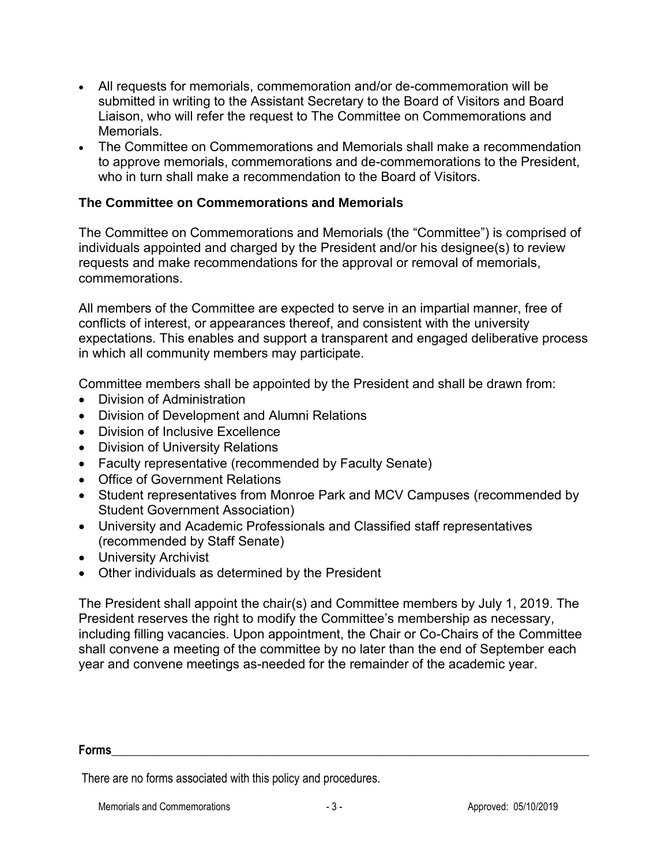- All requests for memorials, commemoration and/or de-commemoration will be submitted in writing to the Assistant Secretary to the Board of Visitors and Board Liaison, who will refer the request to The Committee on Commemorations and Memorials.
- The Committee on Commemorations and Memorials shall make a recommendation to approve memorials, commemorations and de-commemorations to the President, who in turn shall make a recommendation to the Board of Visitors.

# **The Committee on Commemorations and Memorials**

The Committee on Commemorations and Memorials (the "Committee") is comprised of individuals appointed and charged by the President and/or his designee(s) to review requests and make recommendations for the approval or removal of memorials, commemorations.

All members of the Committee are expected to serve in an impartial manner, free of conflicts of interest, or appearances thereof, and consistent with the university expectations. This enables and support a transparent and engaged deliberative process in which all community members may participate.

Committee members shall be appointed by the President and shall be drawn from:

- Division of Administration
- Division of Development and Alumni Relations
- Division of Inclusive Excellence
- Division of University Relations
- Faculty representative (recommended by Faculty Senate)
- Office of Government Relations
- Student representatives from Monroe Park and MCV Campuses (recommended by Student Government Association)
- University and Academic Professionals and Classified staff representatives (recommended by Staff Senate)
- University Archivist
- Other individuals as determined by the President

The President shall appoint the chair(s) and Committee members by July 1, 2019. The President reserves the right to modify the Committee's membership as necessary, including filling vacancies. Upon appointment, the Chair or Co-Chairs of the Committee shall convene a meeting of the committee by no later than the end of September each year and convene meetings as-needed for the remainder of the academic year.

#### **Forms**\_\_\_\_\_\_\_\_\_\_\_\_\_\_\_\_\_\_\_\_\_\_\_\_\_\_\_\_\_\_\_\_\_\_\_\_\_\_\_\_\_\_\_\_\_\_\_\_\_\_\_\_\_\_\_\_\_\_\_\_\_\_\_\_\_\_\_\_\_\_\_\_\_\_\_\_\_\_\_\_

There are no forms associated with this policy and procedures.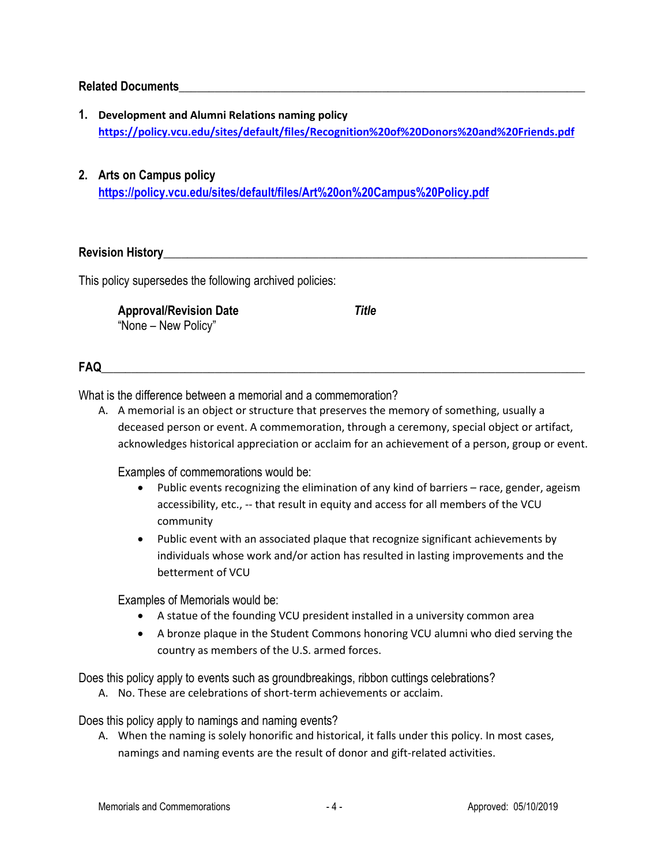#### **Related Documents**\_\_\_\_\_\_\_\_\_\_\_\_\_\_\_\_\_\_\_\_\_\_\_\_\_\_\_\_\_\_\_\_\_\_\_\_\_\_\_\_\_\_\_\_\_\_\_\_\_\_\_\_\_\_\_\_\_\_\_\_\_\_\_\_\_\_\_\_

- **1. Development and Alumni Relations naming policy <https://policy.vcu.edu/sites/default/files/Recognition%20of%20Donors%20and%20Friends.pdf>**
- **2. Arts on Campus policy <https://policy.vcu.edu/sites/default/files/Art%20on%20Campus%20Policy.pdf>**

**Revision History with the set of the set of the set of the set of the set of the set of the set of the set of the set of the set of the set of the set of the set of the set of the set of the set of the set of the set of** 

This policy supersedes the following archived policies:

**Approval/Revision Date** *Title* "None – New Policy"

#### **FAQ**

What is the difference between a memorial and a commemoration?

A. A memorial is an object or structure that preserves the memory of something, usually a deceased person or event. A commemoration, through a ceremony, special object or artifact, acknowledges historical appreciation or acclaim for an achievement of a person, group or event.

Examples of commemorations would be:

- Public events recognizing the elimination of any kind of barriers race, gender, ageism accessibility, etc., -- that result in equity and access for all members of the VCU community
- Public event with an associated plaque that recognize significant achievements by individuals whose work and/or action has resulted in lasting improvements and the betterment of VCU

Examples of Memorials would be:

- A statue of the founding VCU president installed in a university common area
- A bronze plaque in the Student Commons honoring VCU alumni who died serving the country as members of the U.S. armed forces.

Does this policy apply to events such as groundbreakings, ribbon cuttings celebrations?

A. No. These are celebrations of short-term achievements or acclaim.

Does this policy apply to namings and naming events?

A. When the naming is solely honorific and historical, it falls under this policy. In most cases, namings and naming events are the result of donor and gift-related activities.